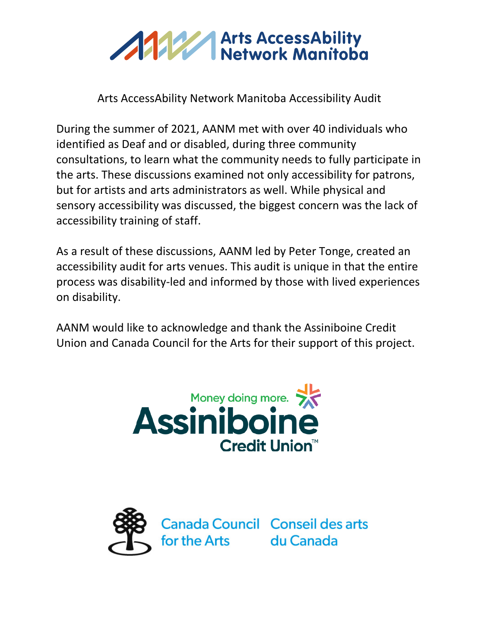

Arts AccessAbility Network Manitoba Accessibility Audit

During the summer of 2021, AANM met with over 40 individuals who identified as Deaf and or disabled, during three community consultations, to learn what the community needs to fully participate in the arts. These discussions examined not only accessibility for patrons, but for artists and arts administrators as well. While physical and sensory accessibility was discussed, the biggest concern was the lack of accessibility training of staff.

As a result of these discussions, AANM led by Peter Tonge, created an accessibility audit for arts venues. This audit is unique in that the entire process was disability-led and informed by those with lived experiences on disability.

AANM would like to acknowledge and thank the Assiniboine Credit Union and Canada Council for the Arts for their support of this project.



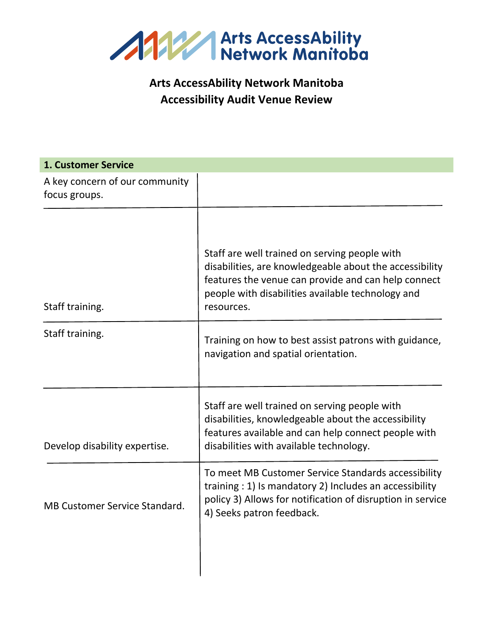

### **Arts AccessAbility Network Manitoba Accessibility Audit Venue Review**

| <b>1. Customer Service</b>                      |                                                                                                                                                                                                                                    |
|-------------------------------------------------|------------------------------------------------------------------------------------------------------------------------------------------------------------------------------------------------------------------------------------|
| A key concern of our community<br>focus groups. |                                                                                                                                                                                                                                    |
| Staff training.                                 | Staff are well trained on serving people with<br>disabilities, are knowledgeable about the accessibility<br>features the venue can provide and can help connect<br>people with disabilities available technology and<br>resources. |
| Staff training.                                 | Training on how to best assist patrons with guidance,<br>navigation and spatial orientation.                                                                                                                                       |
| Develop disability expertise.                   | Staff are well trained on serving people with<br>disabilities, knowledgeable about the accessibility<br>features available and can help connect people with<br>disabilities with available technology.                             |
| <b>MB Customer Service Standard</b>             | To meet MB Customer Service Standards accessibility<br>training : 1) Is mandatory 2) Includes an accessibility<br>policy 3) Allows for notification of disruption in service<br>4) Seeks patron feedback.                          |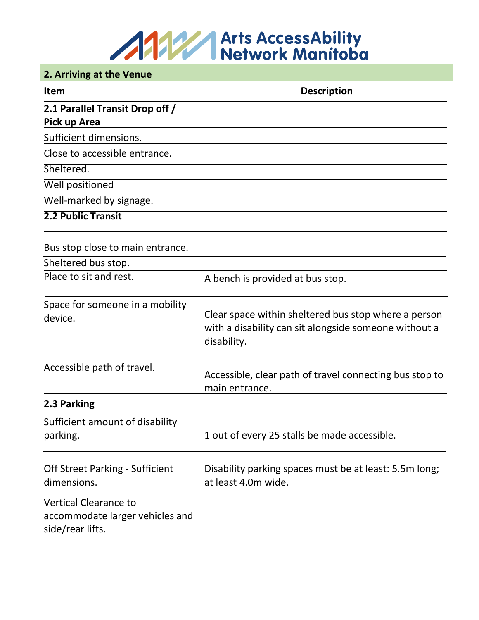

#### **2. Arriving at the Venue**

| <b>Item</b>                                                                         | <b>Description</b>                                                                                                           |
|-------------------------------------------------------------------------------------|------------------------------------------------------------------------------------------------------------------------------|
| 2.1 Parallel Transit Drop off /                                                     |                                                                                                                              |
| Pick up Area                                                                        |                                                                                                                              |
| Sufficient dimensions.                                                              |                                                                                                                              |
| Close to accessible entrance.                                                       |                                                                                                                              |
| Sheltered.                                                                          |                                                                                                                              |
| <b>Well positioned</b>                                                              |                                                                                                                              |
| Well-marked by signage.                                                             |                                                                                                                              |
| <b>2.2 Public Transit</b>                                                           |                                                                                                                              |
| Bus stop close to main entrance.                                                    |                                                                                                                              |
| Sheltered bus stop.                                                                 |                                                                                                                              |
| Place to sit and rest.                                                              | A bench is provided at bus stop.                                                                                             |
| Space for someone in a mobility<br>device.                                          | Clear space within sheltered bus stop where a person<br>with a disability can sit alongside someone without a<br>disability. |
| Accessible path of travel.                                                          | Accessible, clear path of travel connecting bus stop to<br>main entrance.                                                    |
| 2.3 Parking                                                                         |                                                                                                                              |
| Sufficient amount of disability<br>parking.                                         | 1 out of every 25 stalls be made accessible.                                                                                 |
| <b>Off Street Parking - Sufficient</b><br>dimensions.                               | Disability parking spaces must be at least: 5.5m long;<br>at least 4.0m wide.                                                |
| <b>Vertical Clearance to</b><br>accommodate larger vehicles and<br>side/rear lifts. |                                                                                                                              |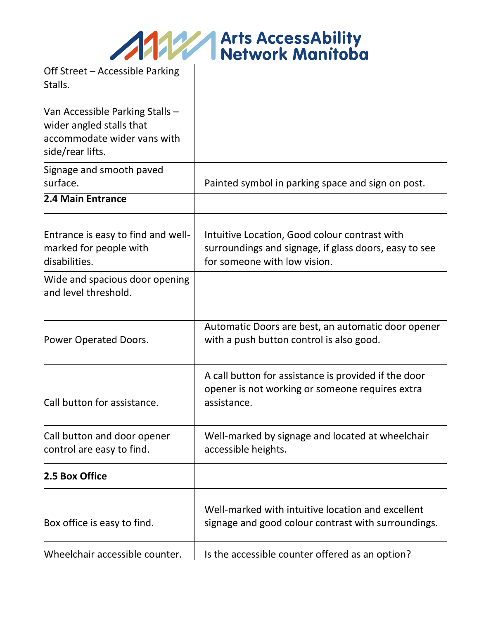**Arts AccessAbility<br>Network Manitoba** 

Off Street – Accessible Parking

Stalls. Van Accessible Parking Stalls – wider angled stalls that accommodate wider vans with side/rear lifts. Signage and smooth paved surface. **Painted symbol in parking space and sign on post. 2.4 Main Entrance** Entrance is easy to find and wellmarked for people with disabilities. Intuitive Location, Good colour contrast with surroundings and signage, if glass doors, easy to see for someone with low vision. Wide and spacious door opening and level threshold. Power Operated Doors. Automatic Doors are best, an automatic door opener with a push button control is also good. Call button for assistance. A call button for assistance is provided if the door opener is not working or someone requires extra assistance. Call button and door opener control are easy to find. Well-marked by signage and located at wheelchair accessible heights. **2.5 Box Office** Box office is easy to find. Well-marked with intuitive location and excellent signage and good colour contrast with surroundings. Wheelchair accessible counter.  $\parallel$  is the accessible counter offered as an option?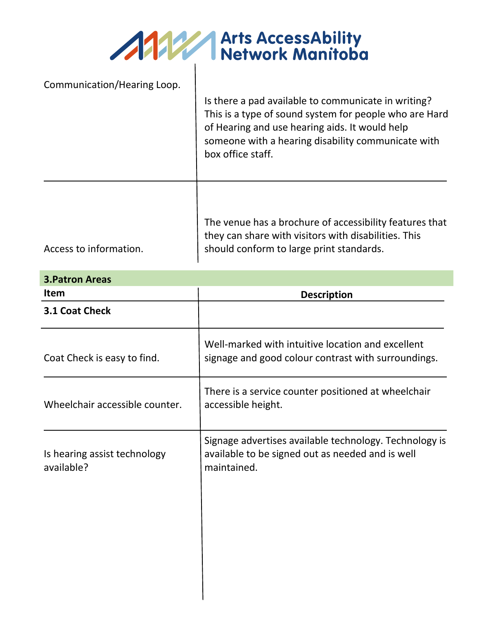AMERICAN Arts AccessAbility

| Communication/Hearing Loop. | Is there a pad available to communicate in writing?<br>This is a type of sound system for people who are Hard<br>of Hearing and use hearing aids. It would help<br>someone with a hearing disability communicate with<br>box office staff. |
|-----------------------------|--------------------------------------------------------------------------------------------------------------------------------------------------------------------------------------------------------------------------------------------|
|                             | The venue has a brochure of accessibility features that<br>they can share with visitors with disabilities. This                                                                                                                            |

Access to information.

should conform to large print standards.

| <b>3. Patron Areas</b>                     |                                                                                                                           |
|--------------------------------------------|---------------------------------------------------------------------------------------------------------------------------|
| <b>Item</b>                                | <b>Description</b>                                                                                                        |
| 3.1 Coat Check                             |                                                                                                                           |
| Coat Check is easy to find.                | Well-marked with intuitive location and excellent<br>signage and good colour contrast with surroundings.                  |
| Wheelchair accessible counter.             | There is a service counter positioned at wheelchair<br>accessible height.                                                 |
| Is hearing assist technology<br>available? | Signage advertises available technology. Technology is<br>available to be signed out as needed and is well<br>maintained. |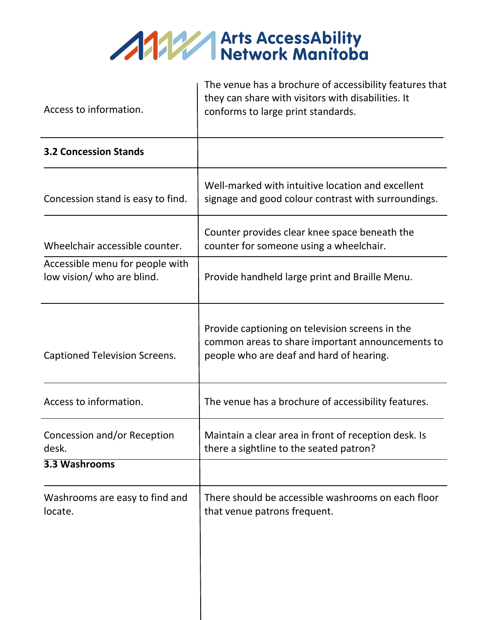

|                                                               | The venue has a brochure of accessibility features that<br>they can share with visitors with disabilities. It                                   |
|---------------------------------------------------------------|-------------------------------------------------------------------------------------------------------------------------------------------------|
| Access to information.                                        | conforms to large print standards.                                                                                                              |
| <b>3.2 Concession Stands</b>                                  |                                                                                                                                                 |
| Concession stand is easy to find.                             | Well-marked with intuitive location and excellent<br>signage and good colour contrast with surroundings.                                        |
| Wheelchair accessible counter.                                | Counter provides clear knee space beneath the<br>counter for someone using a wheelchair.                                                        |
| Accessible menu for people with<br>low vision/ who are blind. | Provide handheld large print and Braille Menu.                                                                                                  |
| <b>Captioned Television Screens.</b>                          | Provide captioning on television screens in the<br>common areas to share important announcements to<br>people who are deaf and hard of hearing. |
| Access to information.                                        | The venue has a brochure of accessibility features.                                                                                             |
| Concession and/or Reception<br>desk.                          | Maintain a clear area in front of reception desk. Is<br>there a sightline to the seated patron?                                                 |
| 3.3 Washrooms                                                 |                                                                                                                                                 |
| Washrooms are easy to find and<br>locate.                     | There should be accessible washrooms on each floor<br>that venue patrons frequent.                                                              |
|                                                               |                                                                                                                                                 |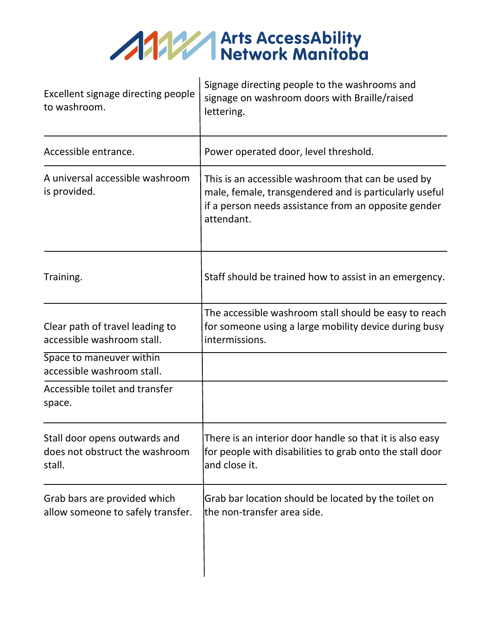

| Excellent signage directing people<br>to washroom.                        | Signage directing people to the washrooms and<br>signage on washroom doors with Braille/raised<br>lettering.                                                                       |
|---------------------------------------------------------------------------|------------------------------------------------------------------------------------------------------------------------------------------------------------------------------------|
| Accessible entrance.                                                      | Power operated door, level threshold.                                                                                                                                              |
| A universal accessible washroom<br>is provided.                           | This is an accessible washroom that can be used by<br>male, female, transgendered and is particularly useful<br>if a person needs assistance from an opposite gender<br>attendant. |
| Training.                                                                 | Staff should be trained how to assist in an emergency.                                                                                                                             |
| Clear path of travel leading to<br>accessible washroom stall.             | The accessible washroom stall should be easy to reach<br>for someone using a large mobility device during busy<br>intermissions.                                                   |
| Space to maneuver within<br>accessible washroom stall.                    |                                                                                                                                                                                    |
| Accessible toilet and transfer<br>space.                                  |                                                                                                                                                                                    |
| Stall door opens outwards and<br>does not obstruct the washroom<br>stall. | There is an interior door handle so that it is also easy<br>for people with disabilities to grab onto the stall door<br>and close it.                                              |
| Grab bars are provided which<br>allow someone to safely transfer.         | Grab bar location should be located by the toilet on<br>lthe non-transfer area side.                                                                                               |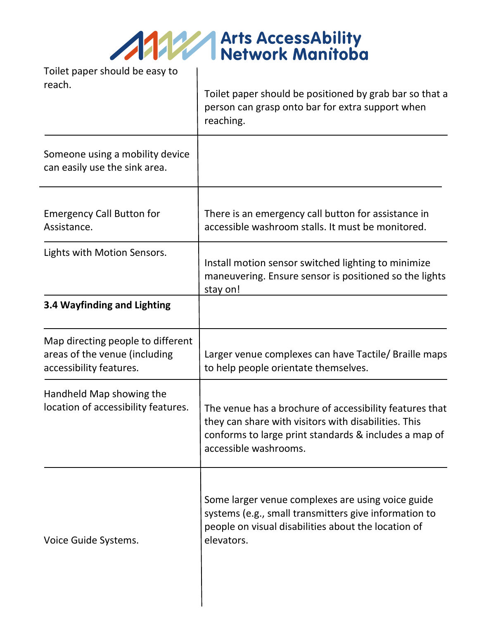AMA Arts AccessAbility

| Tollet paper should be easy to<br>reach.                                                      | Toilet paper should be positioned by grab bar so that a<br>person can grasp onto bar for extra support when<br>reaching.                                                                          |
|-----------------------------------------------------------------------------------------------|---------------------------------------------------------------------------------------------------------------------------------------------------------------------------------------------------|
| Someone using a mobility device<br>can easily use the sink area.                              |                                                                                                                                                                                                   |
| <b>Emergency Call Button for</b><br>Assistance.                                               | There is an emergency call button for assistance in<br>accessible washroom stalls. It must be monitored.                                                                                          |
| Lights with Motion Sensors.                                                                   | Install motion sensor switched lighting to minimize<br>maneuvering. Ensure sensor is positioned so the lights<br>stay on!                                                                         |
| 3.4 Wayfinding and Lighting                                                                   |                                                                                                                                                                                                   |
| Map directing people to different<br>areas of the venue (including<br>accessibility features. | Larger venue complexes can have Tactile/ Braille maps<br>to help people orientate themselves.                                                                                                     |
| Handheld Map showing the<br>location of accessibility features.                               | The venue has a brochure of accessibility features that<br>they can share with visitors with disabilities. This<br>conforms to large print standards & includes a map of<br>accessible washrooms. |
| Voice Guide Systems.                                                                          | Some larger venue complexes are using voice guide<br>systems (e.g., small transmitters give information to<br>people on visual disabilities about the location of                                 |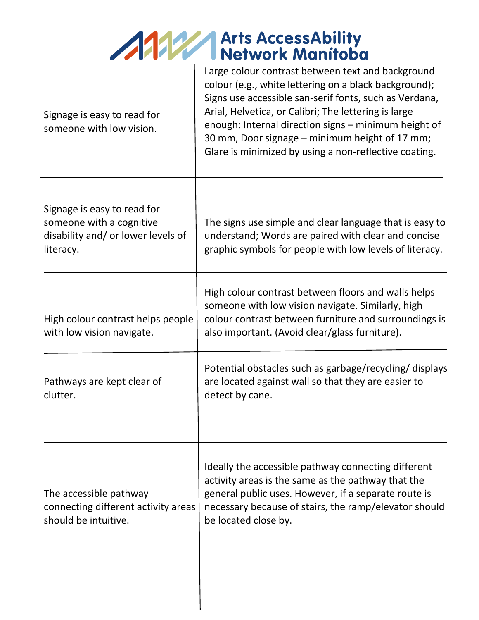## **Allen Arts AccessAbility<br>
Network Manifoba<br>
Large colour contrast between text and background**

| Signage is easy to read for<br>someone with low vision.                                                    | Large colour contrast between text and background<br>colour (e.g., white lettering on a black background);<br>Signs use accessible san-serif fonts, such as Verdana,<br>Arial, Helvetica, or Calibri; The lettering is large<br>enough: Internal direction signs - minimum height of<br>30 mm, Door signage - minimum height of 17 mm;<br>Glare is minimized by using a non-reflective coating. |
|------------------------------------------------------------------------------------------------------------|-------------------------------------------------------------------------------------------------------------------------------------------------------------------------------------------------------------------------------------------------------------------------------------------------------------------------------------------------------------------------------------------------|
| Signage is easy to read for<br>someone with a cognitive<br>disability and/ or lower levels of<br>literacy. | The signs use simple and clear language that is easy to<br>understand; Words are paired with clear and concise<br>graphic symbols for people with low levels of literacy.                                                                                                                                                                                                                       |
| High colour contrast helps people<br>with low vision navigate.                                             | High colour contrast between floors and walls helps<br>someone with low vision navigate. Similarly, high<br>colour contrast between furniture and surroundings is<br>also important. (Avoid clear/glass furniture).                                                                                                                                                                             |
| Pathways are kept clear of<br>clutter.                                                                     | Potential obstacles such as garbage/recycling/displays<br>are located against wall so that they are easier to<br>detect by cane.                                                                                                                                                                                                                                                                |
| The accessible pathway<br>connecting different activity areas<br>should be intuitive.                      | Ideally the accessible pathway connecting different<br>activity areas is the same as the pathway that the<br>general public uses. However, if a separate route is<br>necessary because of stairs, the ramp/elevator should<br>be located close by.                                                                                                                                              |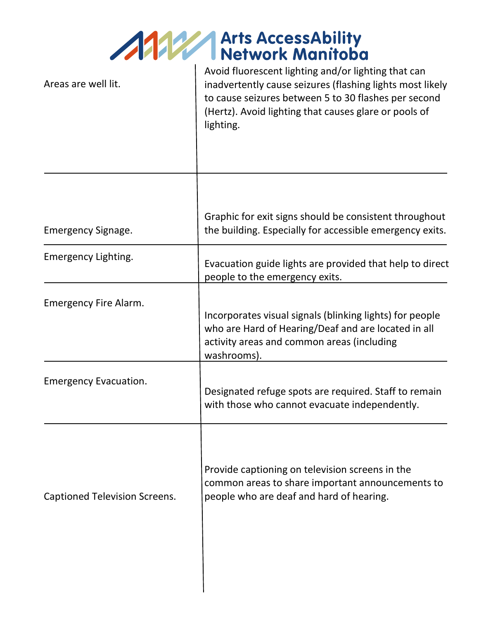## ANY Arts AccessAbility

| Avoid fluorescent lighting and/or lighting that can<br>inadvertently cause seizures (flashing lights most likely<br>to cause seizures between 5 to 30 flashes per second<br>(Hertz). Avoid lighting that causes glare or pools of<br>lighting. |
|------------------------------------------------------------------------------------------------------------------------------------------------------------------------------------------------------------------------------------------------|
| Graphic for exit signs should be consistent throughout<br>the building. Especially for accessible emergency exits.                                                                                                                             |
| Evacuation guide lights are provided that help to direct<br>people to the emergency exits.                                                                                                                                                     |
| Incorporates visual signals (blinking lights) for people<br>who are Hard of Hearing/Deaf and are located in all<br>activity areas and common areas (including<br>washrooms).                                                                   |
| Designated refuge spots are required. Staff to remain<br>with those who cannot evacuate independently.                                                                                                                                         |
| Provide captioning on television screens in the<br>common areas to share important announcements to<br>people who are deaf and hard of hearing.                                                                                                |
|                                                                                                                                                                                                                                                |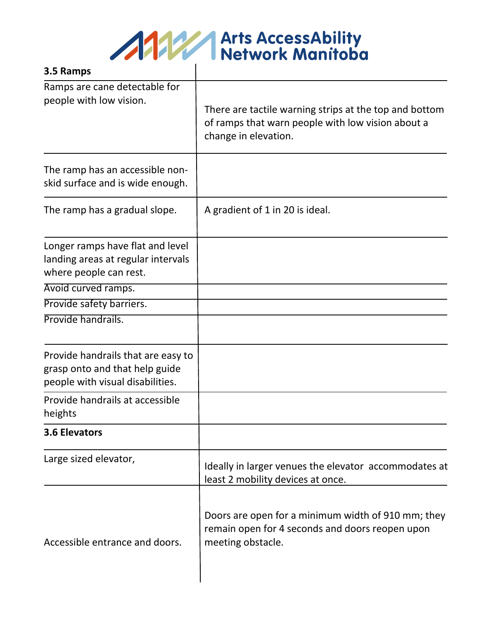

| 3.5 Ramps                                                                                                |                                                                                                                                     |
|----------------------------------------------------------------------------------------------------------|-------------------------------------------------------------------------------------------------------------------------------------|
| Ramps are cane detectable for<br>people with low vision.                                                 | There are tactile warning strips at the top and bottom<br>of ramps that warn people with low vision about a<br>change in elevation. |
| The ramp has an accessible non-<br>skid surface and is wide enough.                                      |                                                                                                                                     |
| The ramp has a gradual slope.                                                                            | A gradient of 1 in 20 is ideal.                                                                                                     |
| Longer ramps have flat and level<br>landing areas at regular intervals<br>where people can rest.         |                                                                                                                                     |
| Avoid curved ramps.                                                                                      |                                                                                                                                     |
| Provide safety barriers.                                                                                 |                                                                                                                                     |
| Provide handrails.                                                                                       |                                                                                                                                     |
| Provide handrails that are easy to<br>grasp onto and that help guide<br>people with visual disabilities. |                                                                                                                                     |
| Provide handrails at accessible<br>heights                                                               |                                                                                                                                     |
| 3.6 Elevators                                                                                            |                                                                                                                                     |
| Large sized elevator,                                                                                    | Ideally in larger venues the elevator accommodates at<br>least 2 mobility devices at once.                                          |
| Accessible entrance and doors.                                                                           | Doors are open for a minimum width of 910 mm; they<br>remain open for 4 seconds and doors reopen upon<br>meeting obstacle.          |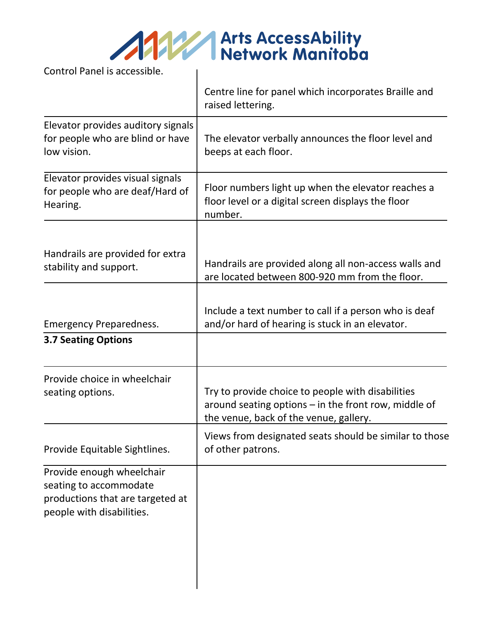Control Panel is accessible.

|                                                                                                                      | Centre line for panel which incorporates Braille and<br>raised lettering.                                                                           |
|----------------------------------------------------------------------------------------------------------------------|-----------------------------------------------------------------------------------------------------------------------------------------------------|
| Elevator provides auditory signals<br>for people who are blind or have<br>low vision.                                | The elevator verbally announces the floor level and<br>beeps at each floor.                                                                         |
| Elevator provides visual signals<br>for people who are deaf/Hard of<br>Hearing.                                      | Floor numbers light up when the elevator reaches a<br>floor level or a digital screen displays the floor<br>number.                                 |
| Handrails are provided for extra<br>stability and support.                                                           | Handrails are provided along all non-access walls and<br>are located between 800-920 mm from the floor.                                             |
| <b>Emergency Preparedness.</b><br><b>3.7 Seating Options</b>                                                         | Include a text number to call if a person who is deaf<br>and/or hard of hearing is stuck in an elevator.                                            |
| Provide choice in wheelchair<br>seating options.                                                                     | Try to provide choice to people with disabilities<br>around seating options - in the front row, middle of<br>the venue, back of the venue, gallery. |
| Provide Equitable Sightlines.                                                                                        | Views from designated seats should be similar to those<br>of other patrons.                                                                         |
| Provide enough wheelchair<br>seating to accommodate<br>productions that are targeted at<br>people with disabilities. |                                                                                                                                                     |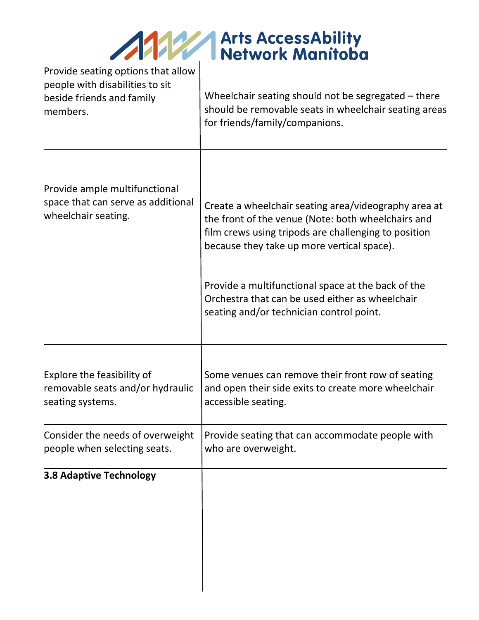| <b>ANY Arts AccessAbility<br/>Network Manitoba</b> |
|----------------------------------------------------|
|                                                    |

| Provide seating options that allow<br>people with disabilities to sit<br>beside friends and family<br>members. | Wheelchair seating should not be segregated $-$ there<br>should be removable seats in wheelchair seating areas<br>for friends/family/companions.                                                                                                                                                                                                                      |
|----------------------------------------------------------------------------------------------------------------|-----------------------------------------------------------------------------------------------------------------------------------------------------------------------------------------------------------------------------------------------------------------------------------------------------------------------------------------------------------------------|
| Provide ample multifunctional<br>space that can serve as additional<br>wheelchair seating.                     | Create a wheelchair seating area/videography area at<br>the front of the venue (Note: both wheelchairs and<br>film crews using tripods are challenging to position<br>because they take up more vertical space).<br>Provide a multifunctional space at the back of the<br>Orchestra that can be used either as wheelchair<br>seating and/or technician control point. |
| Explore the feasibility of<br>removable seats and/or hydraulic<br>seating systems.                             | Some venues can remove their front row of seating<br>and open their side exits to create more wheelchair<br>accessible seating.                                                                                                                                                                                                                                       |
| Consider the needs of overweight<br>people when selecting seats.                                               | Provide seating that can accommodate people with<br>who are overweight.                                                                                                                                                                                                                                                                                               |
| <b>3.8 Adaptive Technology</b>                                                                                 |                                                                                                                                                                                                                                                                                                                                                                       |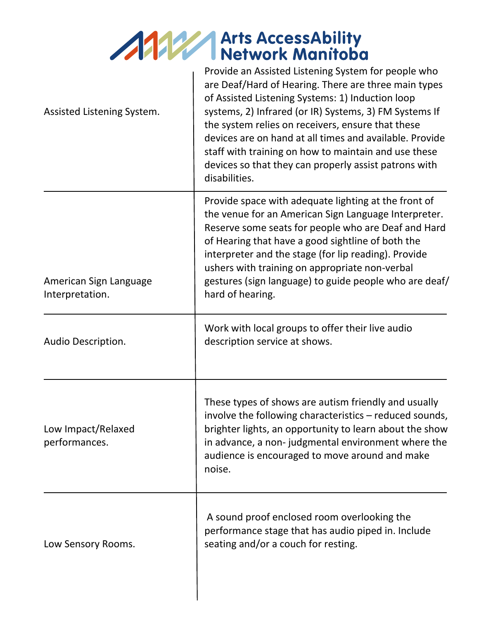# Arts AccessAbility<br>
Network Manifoba

| Assisted Listening System.                | Provide an Assisted Listening System for people who<br>are Deaf/Hard of Hearing. There are three main types<br>of Assisted Listening Systems: 1) Induction loop<br>systems, 2) Infrared (or IR) Systems, 3) FM Systems If<br>the system relies on receivers, ensure that these<br>devices are on hand at all times and available. Provide<br>staff with training on how to maintain and use these<br>devices so that they can properly assist patrons with<br>disabilities. |
|-------------------------------------------|-----------------------------------------------------------------------------------------------------------------------------------------------------------------------------------------------------------------------------------------------------------------------------------------------------------------------------------------------------------------------------------------------------------------------------------------------------------------------------|
| American Sign Language<br>Interpretation. | Provide space with adequate lighting at the front of<br>the venue for an American Sign Language Interpreter.<br>Reserve some seats for people who are Deaf and Hard<br>of Hearing that have a good sightline of both the<br>interpreter and the stage (for lip reading). Provide<br>ushers with training on appropriate non-verbal<br>gestures (sign language) to guide people who are deaf/<br>hard of hearing.                                                            |
| Audio Description.                        | Work with local groups to offer their live audio<br>description service at shows.                                                                                                                                                                                                                                                                                                                                                                                           |
| Low Impact/Relaxed<br>performances.       | These types of shows are autism friendly and usually<br>involve the following characteristics - reduced sounds,<br>brighter lights, an opportunity to learn about the show<br>in advance, a non-judgmental environment where the<br>audience is encouraged to move around and make<br>noise.                                                                                                                                                                                |
| Low Sensory Rooms.                        | A sound proof enclosed room overlooking the<br>performance stage that has audio piped in. Include<br>seating and/or a couch for resting.                                                                                                                                                                                                                                                                                                                                    |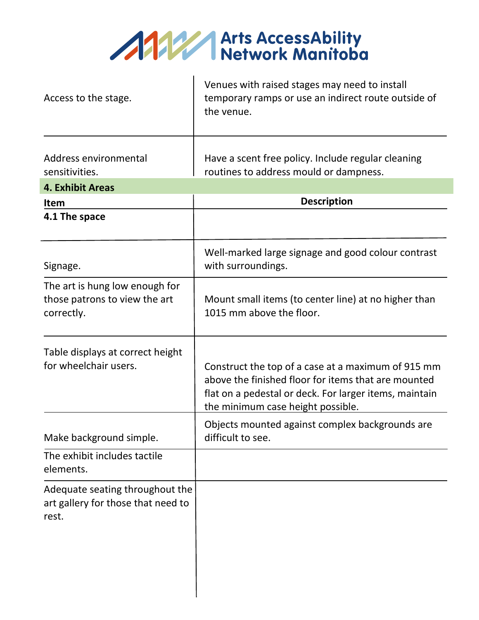

| Access to the stage.                                                           | Venues with raised stages may need to install<br>temporary ramps or use an indirect route outside of<br>the venue.                                                                                       |
|--------------------------------------------------------------------------------|----------------------------------------------------------------------------------------------------------------------------------------------------------------------------------------------------------|
| Address environmental<br>sensitivities.                                        | Have a scent free policy. Include regular cleaning<br>routines to address mould or dampness.                                                                                                             |
| <b>4. Exhibit Areas</b>                                                        |                                                                                                                                                                                                          |
| <b>Item</b>                                                                    | <b>Description</b>                                                                                                                                                                                       |
| 4.1 The space                                                                  |                                                                                                                                                                                                          |
| Signage.                                                                       | Well-marked large signage and good colour contrast<br>with surroundings.                                                                                                                                 |
| The art is hung low enough for<br>those patrons to view the art<br>correctly.  | Mount small items (to center line) at no higher than<br>1015 mm above the floor.                                                                                                                         |
| Table displays at correct height<br>for wheelchair users.                      | Construct the top of a case at a maximum of 915 mm<br>above the finished floor for items that are mounted<br>flat on a pedestal or deck. For larger items, maintain<br>the minimum case height possible. |
| Make background simple.                                                        | Objects mounted against complex backgrounds are<br>difficult to see.                                                                                                                                     |
| The exhibit includes tactile<br>elements.                                      |                                                                                                                                                                                                          |
| Adequate seating throughout the<br>art gallery for those that need to<br>rest. |                                                                                                                                                                                                          |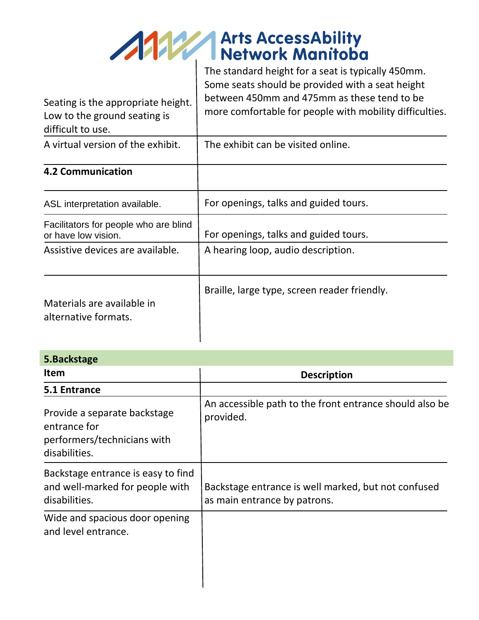

| Seating is the appropriate height.<br>Low to the ground seating is<br>difficult to use. | Some seats should be provided with a seat height<br>between 450mm and 475mm as these tend to be<br>more comfortable for people with mobility difficulties. |
|-----------------------------------------------------------------------------------------|------------------------------------------------------------------------------------------------------------------------------------------------------------|
| A virtual version of the exhibit.                                                       | The exhibit can be visited online.                                                                                                                         |
| <b>4.2 Communication</b>                                                                |                                                                                                                                                            |
| ASL interpretation available.                                                           | For openings, talks and guided tours.                                                                                                                      |
| Facilitators for people who are blind<br>or have low vision.                            | For openings, talks and guided tours.                                                                                                                      |
| Assistive devices are available.                                                        | A hearing loop, audio description.                                                                                                                         |
| Materials are available in<br>alternative formats.                                      | Braille, large type, screen reader friendly.                                                                                                               |

| 5. Backstage                                                                                 |                                                                                     |
|----------------------------------------------------------------------------------------------|-------------------------------------------------------------------------------------|
| <b>Item</b>                                                                                  | <b>Description</b>                                                                  |
| 5.1 Entrance                                                                                 |                                                                                     |
| Provide a separate backstage<br>entrance for<br>performers/technicians with<br>disabilities. | An accessible path to the front entrance should also be<br>provided.                |
| Backstage entrance is easy to find<br>and well-marked for people with<br>disabilities.       | Backstage entrance is well marked, but not confused<br>as main entrance by patrons. |
| Wide and spacious door opening<br>and level entrance.                                        |                                                                                     |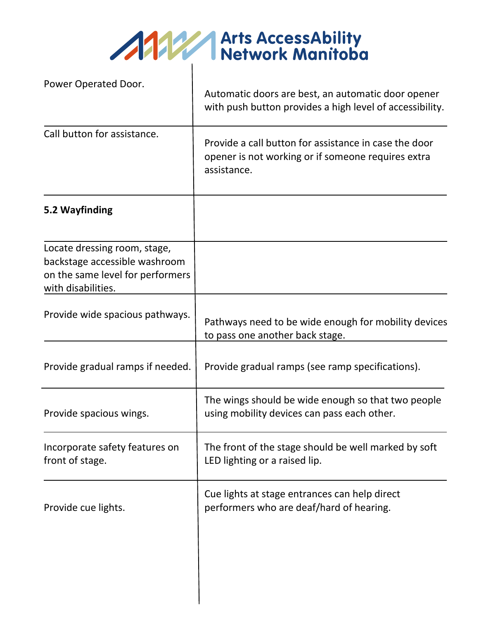AMERICAN Arts AccessAbility

| Power Operated Door.                                                                                                    | Automatic doors are best, an automatic door opener<br>with push button provides a high level of accessibility.             |
|-------------------------------------------------------------------------------------------------------------------------|----------------------------------------------------------------------------------------------------------------------------|
| Call button for assistance.                                                                                             | Provide a call button for assistance in case the door<br>opener is not working or if someone requires extra<br>assistance. |
| 5.2 Wayfinding                                                                                                          |                                                                                                                            |
| Locate dressing room, stage,<br>backstage accessible washroom<br>on the same level for performers<br>with disabilities. |                                                                                                                            |
| Provide wide spacious pathways.                                                                                         | Pathways need to be wide enough for mobility devices<br>to pass one another back stage.                                    |
| Provide gradual ramps if needed.                                                                                        | Provide gradual ramps (see ramp specifications).                                                                           |
| Provide spacious wings.                                                                                                 | The wings should be wide enough so that two people<br>using mobility devices can pass each other.                          |
| Incorporate safety features on<br>front of stage.                                                                       | The front of the stage should be well marked by soft<br>LED lighting or a raised lip.                                      |
| Provide cue lights.                                                                                                     | Cue lights at stage entrances can help direct<br>performers who are deaf/hard of hearing.                                  |
|                                                                                                                         |                                                                                                                            |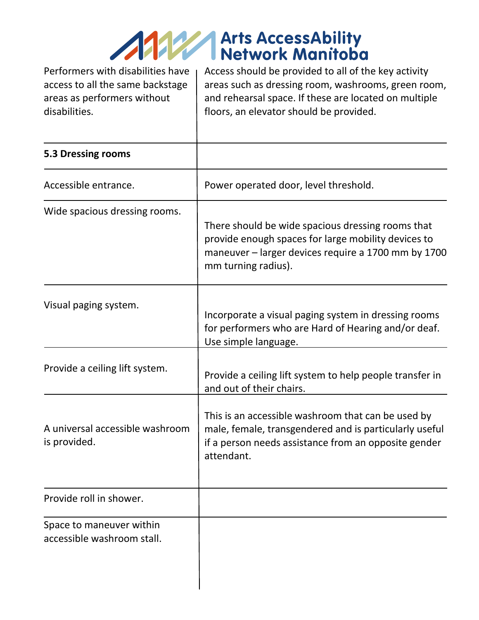### **1999 Arts AccessAbility<br>Network Manitoba**

Performers with disabilities have access to all the same backstage areas as performers without disabilities.

Access should be provided to all of the key activity areas such as dressing room, washrooms, green room, and rehearsal space. If these are located on multiple floors, an elevator should be provided.

| 5.3 Dressing rooms                                     |                                                                                                                                                                                        |
|--------------------------------------------------------|----------------------------------------------------------------------------------------------------------------------------------------------------------------------------------------|
| Accessible entrance.                                   | Power operated door, level threshold.                                                                                                                                                  |
| Wide spacious dressing rooms.                          | There should be wide spacious dressing rooms that<br>provide enough spaces for large mobility devices to<br>maneuver - larger devices require a 1700 mm by 1700<br>mm turning radius). |
| Visual paging system.                                  | Incorporate a visual paging system in dressing rooms<br>for performers who are Hard of Hearing and/or deaf.<br>Use simple language.                                                    |
| Provide a ceiling lift system.                         | Provide a ceiling lift system to help people transfer in<br>and out of their chairs.                                                                                                   |
| A universal accessible washroom<br>is provided.        | This is an accessible washroom that can be used by<br>male, female, transgendered and is particularly useful<br>if a person needs assistance from an opposite gender<br>attendant.     |
| Provide roll in shower.                                |                                                                                                                                                                                        |
| Space to maneuver within<br>accessible washroom stall. |                                                                                                                                                                                        |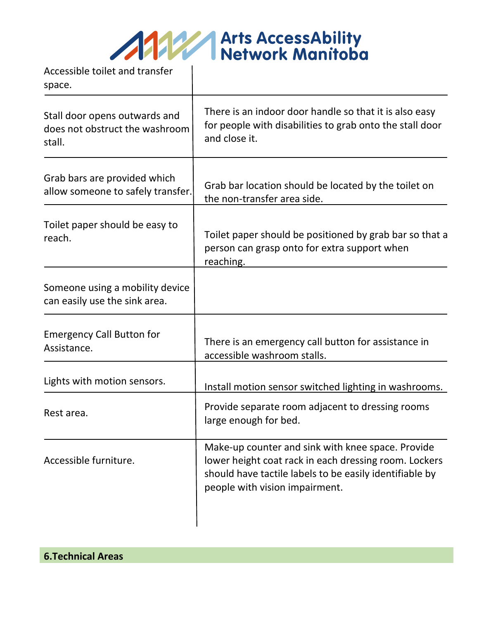ANY Arts AccessAbility

Accessible toilet and transfer space.

| Stall door opens outwards and<br>does not obstruct the washroom<br>stall. | There is an indoor door handle so that it is also easy<br>for people with disabilities to grab onto the stall door<br>and close it.                                                                     |
|---------------------------------------------------------------------------|---------------------------------------------------------------------------------------------------------------------------------------------------------------------------------------------------------|
| Grab bars are provided which<br>allow someone to safely transfer.         | Grab bar location should be located by the toilet on<br>the non-transfer area side.                                                                                                                     |
| Toilet paper should be easy to<br>reach.                                  | Toilet paper should be positioned by grab bar so that a<br>person can grasp onto for extra support when<br>reaching.                                                                                    |
| Someone using a mobility device<br>can easily use the sink area.          |                                                                                                                                                                                                         |
| <b>Emergency Call Button for</b><br>Assistance.                           | There is an emergency call button for assistance in<br>accessible washroom stalls.                                                                                                                      |
| Lights with motion sensors.                                               | Install motion sensor switched lighting in washrooms.                                                                                                                                                   |
| Rest area.                                                                | Provide separate room adjacent to dressing rooms<br>large enough for bed.                                                                                                                               |
| Accessible furniture.                                                     | Make-up counter and sink with knee space. Provide<br>lower height coat rack in each dressing room. Lockers<br>should have tactile labels to be easily identifiable by<br>people with vision impairment. |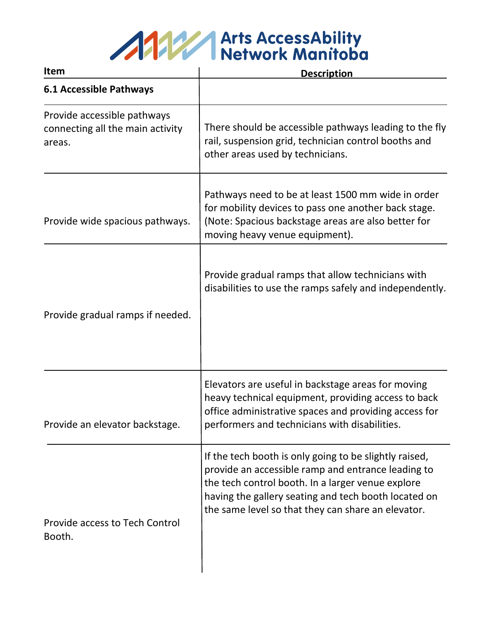

| Item                                                                      | <b>Description</b>                                                                                                                                                                                                                                                              |
|---------------------------------------------------------------------------|---------------------------------------------------------------------------------------------------------------------------------------------------------------------------------------------------------------------------------------------------------------------------------|
| <b>6.1 Accessible Pathways</b>                                            |                                                                                                                                                                                                                                                                                 |
| Provide accessible pathways<br>connecting all the main activity<br>areas. | There should be accessible pathways leading to the fly<br>rail, suspension grid, technician control booths and<br>other areas used by technicians.                                                                                                                              |
| Provide wide spacious pathways.                                           | Pathways need to be at least 1500 mm wide in order<br>for mobility devices to pass one another back stage.<br>(Note: Spacious backstage areas are also better for<br>moving heavy venue equipment).                                                                             |
| Provide gradual ramps if needed.                                          | Provide gradual ramps that allow technicians with<br>disabilities to use the ramps safely and independently.                                                                                                                                                                    |
| Provide an elevator backstage.                                            | Elevators are useful in backstage areas for moving<br>heavy technical equipment, providing access to back<br>office administrative spaces and providing access for<br>performers and technicians with disabilities.                                                             |
| <b>Provide access to Tech Control</b><br>Booth.                           | If the tech booth is only going to be slightly raised,<br>provide an accessible ramp and entrance leading to<br>the tech control booth. In a larger venue explore<br>having the gallery seating and tech booth located on<br>the same level so that they can share an elevator. |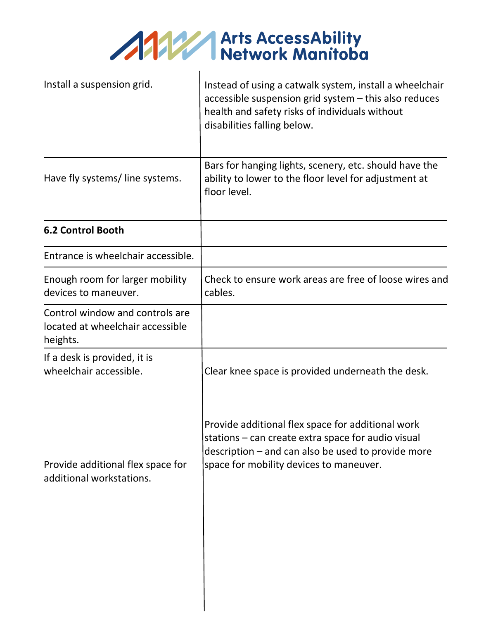ANY Arts AccessAbility

 $\blacksquare$ 

| Install a suspension grid.                                                      | Instead of using a catwalk system, install a wheelchair<br>accessible suspension grid system - this also reduces<br>health and safety risks of individuals without<br>disabilities falling below.        |
|---------------------------------------------------------------------------------|----------------------------------------------------------------------------------------------------------------------------------------------------------------------------------------------------------|
| Have fly systems/line systems.                                                  | Bars for hanging lights, scenery, etc. should have the<br>ability to lower to the floor level for adjustment at<br>floor level.                                                                          |
| <b>6.2 Control Booth</b>                                                        |                                                                                                                                                                                                          |
| Entrance is wheelchair accessible.                                              |                                                                                                                                                                                                          |
| Enough room for larger mobility<br>devices to maneuver.                         | Check to ensure work areas are free of loose wires and<br>cables.                                                                                                                                        |
| Control window and controls are<br>located at wheelchair accessible<br>heights. |                                                                                                                                                                                                          |
| If a desk is provided, it is<br>wheelchair accessible.                          | Clear knee space is provided underneath the desk.                                                                                                                                                        |
| Provide additional flex space for<br>additional workstations.                   | Provide additional flex space for additional work<br>stations – can create extra space for audio visual<br>description – and can also be used to provide more<br>space for mobility devices to maneuver. |

 $\overline{\phantom{a}}$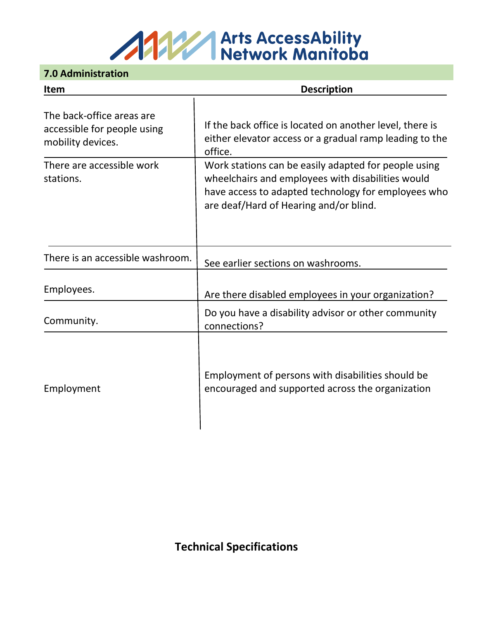### ANY Arts AccessAbility<br>Network Manitoba

#### **7.0 Administration**

| <b>Item</b>                                                                   | <b>Description</b>                                                                                                                                                                                         |
|-------------------------------------------------------------------------------|------------------------------------------------------------------------------------------------------------------------------------------------------------------------------------------------------------|
| The back-office areas are<br>accessible for people using<br>mobility devices. | If the back office is located on another level, there is<br>either elevator access or a gradual ramp leading to the<br>office.                                                                             |
| There are accessible work<br>stations.                                        | Work stations can be easily adapted for people using<br>wheelchairs and employees with disabilities would<br>have access to adapted technology for employees who<br>are deaf/Hard of Hearing and/or blind. |
| There is an accessible washroom.                                              | See earlier sections on washrooms.                                                                                                                                                                         |
| Employees.                                                                    | Are there disabled employees in your organization?                                                                                                                                                         |
| Community.                                                                    | Do you have a disability advisor or other community<br>connections?                                                                                                                                        |
| Employment                                                                    | Employment of persons with disabilities should be<br>encouraged and supported across the organization                                                                                                      |

**Technical Specifications**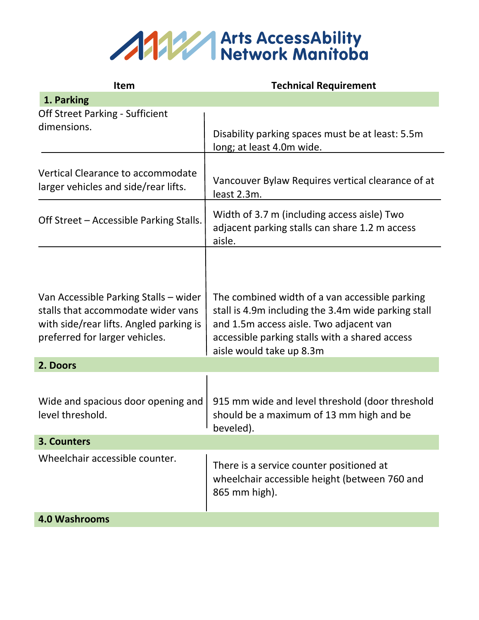

| <b>Item</b>                                                                                                                                              | <b>Technical Requirement</b>                                                                                                                                                                                                   |
|----------------------------------------------------------------------------------------------------------------------------------------------------------|--------------------------------------------------------------------------------------------------------------------------------------------------------------------------------------------------------------------------------|
| 1. Parking                                                                                                                                               |                                                                                                                                                                                                                                |
| <b>Off Street Parking - Sufficient</b><br>dimensions.                                                                                                    | Disability parking spaces must be at least: 5.5m<br>long; at least 4.0m wide.                                                                                                                                                  |
| Vertical Clearance to accommodate<br>larger vehicles and side/rear lifts.                                                                                | Vancouver Bylaw Requires vertical clearance of at<br>least 2.3m.                                                                                                                                                               |
| Off Street - Accessible Parking Stalls.                                                                                                                  | Width of 3.7 m (including access aisle) Two<br>adjacent parking stalls can share 1.2 m access<br>aisle.                                                                                                                        |
| Van Accessible Parking Stalls - wider<br>stalls that accommodate wider vans<br>with side/rear lifts. Angled parking is<br>preferred for larger vehicles. | The combined width of a van accessible parking<br>stall is 4.9m including the 3.4m wide parking stall<br>and 1.5m access aisle. Two adjacent van<br>accessible parking stalls with a shared access<br>aisle would take up 8.3m |
| 2. Doors                                                                                                                                                 |                                                                                                                                                                                                                                |
| Wide and spacious door opening and<br>level threshold.                                                                                                   | 915 mm wide and level threshold (door threshold<br>should be a maximum of 13 mm high and be<br>beveled).                                                                                                                       |
| 3. Counters                                                                                                                                              |                                                                                                                                                                                                                                |
| Wheelchair accessible counter.                                                                                                                           | There is a service counter positioned at<br>wheelchair accessible height (between 760 and<br>865 mm high).                                                                                                                     |
| <b>4.0 Washrooms</b>                                                                                                                                     |                                                                                                                                                                                                                                |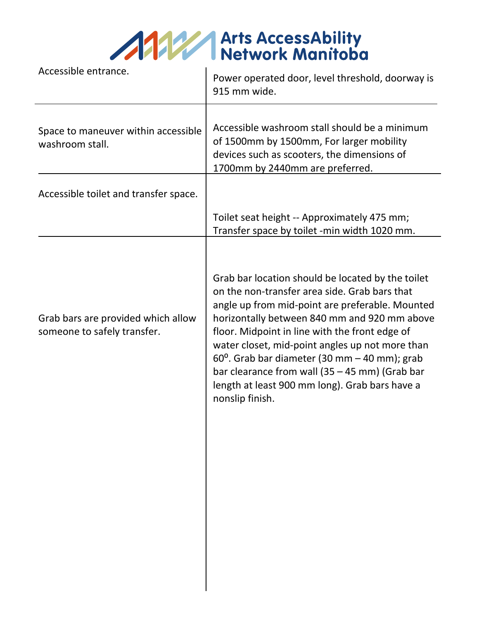| <b>ANY Arts AccessAbility<br/>Network Manitoba</b> |                  |
|----------------------------------------------------|------------------|
|                                                    | Network Manitoba |

| Accessible entrance.                                              | Power operated door, level threshold, doorway is<br>915 mm wide.                                                                                                                                                                                                                                                                                                                                                                                                                            |
|-------------------------------------------------------------------|---------------------------------------------------------------------------------------------------------------------------------------------------------------------------------------------------------------------------------------------------------------------------------------------------------------------------------------------------------------------------------------------------------------------------------------------------------------------------------------------|
| Space to maneuver within accessible<br>washroom stall.            | Accessible washroom stall should be a minimum<br>of 1500mm by 1500mm, For larger mobility<br>devices such as scooters, the dimensions of<br>1700mm by 2440mm are preferred.                                                                                                                                                                                                                                                                                                                 |
| Accessible toilet and transfer space.                             |                                                                                                                                                                                                                                                                                                                                                                                                                                                                                             |
|                                                                   | Toilet seat height -- Approximately 475 mm;<br>Transfer space by toilet -min width 1020 mm.                                                                                                                                                                                                                                                                                                                                                                                                 |
| Grab bars are provided which allow<br>someone to safely transfer. | Grab bar location should be located by the toilet<br>on the non-transfer area side. Grab bars that<br>angle up from mid-point are preferable. Mounted<br>horizontally between 840 mm and 920 mm above<br>floor. Midpoint in line with the front edge of<br>water closet, mid-point angles up not more than<br>$60^{\circ}$ . Grab bar diameter (30 mm - 40 mm); grab<br>bar clearance from wall (35 - 45 mm) (Grab bar<br>length at least 900 mm long). Grab bars have a<br>nonslip finish. |
|                                                                   |                                                                                                                                                                                                                                                                                                                                                                                                                                                                                             |
|                                                                   |                                                                                                                                                                                                                                                                                                                                                                                                                                                                                             |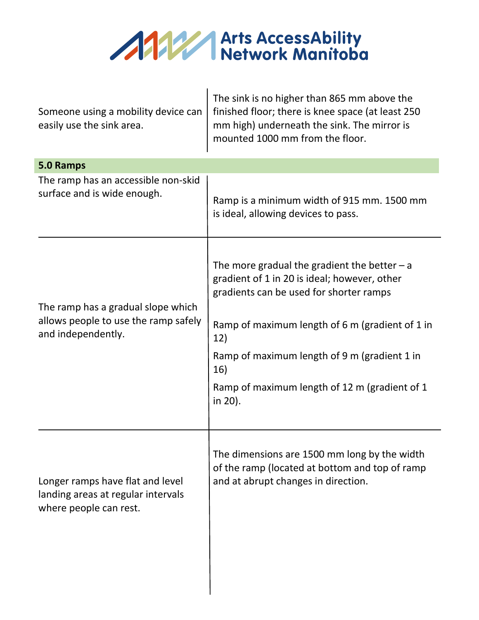

| Someone using a mobility device can<br>easily use the sink area.                                 | The sink is no higher than 865 mm above the<br>finished floor; there is knee space (at least 250<br>mm high) underneath the sink. The mirror is<br>mounted 1000 mm from the floor.                                                                                                                                    |  |  |
|--------------------------------------------------------------------------------------------------|-----------------------------------------------------------------------------------------------------------------------------------------------------------------------------------------------------------------------------------------------------------------------------------------------------------------------|--|--|
| 5.0 Ramps                                                                                        |                                                                                                                                                                                                                                                                                                                       |  |  |
| The ramp has an accessible non-skid<br>surface and is wide enough.                               | Ramp is a minimum width of 915 mm. 1500 mm<br>is ideal, allowing devices to pass.                                                                                                                                                                                                                                     |  |  |
| The ramp has a gradual slope which<br>allows people to use the ramp safely<br>and independently. | The more gradual the gradient the better $-a$<br>gradient of 1 in 20 is ideal; however, other<br>gradients can be used for shorter ramps<br>Ramp of maximum length of 6 m (gradient of 1 in<br>12)<br>Ramp of maximum length of 9 m (gradient 1 in<br>16)<br>Ramp of maximum length of 12 m (gradient of 1<br>in 20). |  |  |
| Longer ramps have flat and level<br>landing areas at regular intervals<br>where people can rest. | The dimensions are 1500 mm long by the width<br>of the ramp (located at bottom and top of ramp<br>and at abrupt changes in direction.                                                                                                                                                                                 |  |  |